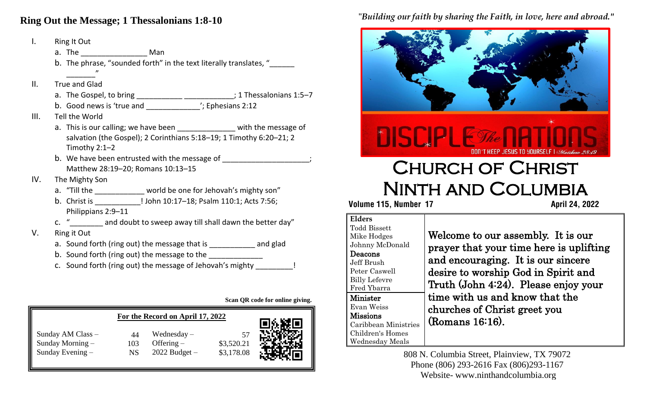#### **Ring Out the Message; 1 Thessalonians 1:8-10**

| Ι.   | Ring It Out                                                                                                                                       |  |  |  |  |
|------|---------------------------------------------------------------------------------------------------------------------------------------------------|--|--|--|--|
|      | a. The ______________________ Man                                                                                                                 |  |  |  |  |
|      | b. The phrase, "sounded forth" in the text literally translates, "______                                                                          |  |  |  |  |
|      |                                                                                                                                                   |  |  |  |  |
| ΙΙ.  | <b>True and Glad</b>                                                                                                                              |  |  |  |  |
|      | a. The Gospel, to bring ___________________________; 1 Thessalonians 1:5-7                                                                        |  |  |  |  |
|      | b. Good news is 'true and _________________'; Ephesians 2:12                                                                                      |  |  |  |  |
| III. | Tell the World                                                                                                                                    |  |  |  |  |
|      | a. This is our calling; we have been _____________ with the message of                                                                            |  |  |  |  |
|      | salvation (the Gospel); 2 Corinthians 5:18-19; 1 Timothy 6:20-21; 2                                                                               |  |  |  |  |
|      | Timothy $2:1-2$                                                                                                                                   |  |  |  |  |
|      | b. We have been entrusted with the message of ___________________;                                                                                |  |  |  |  |
|      | Matthew 28:19-20; Romans 10:13-15                                                                                                                 |  |  |  |  |
| IV.  | The Mighty Son                                                                                                                                    |  |  |  |  |
|      | a. "Till the ___________ world be one for Jehovah's mighty son"                                                                                   |  |  |  |  |
|      | b. Christ is _______________! John 10:17-18; Psalm 110:1; Acts 7:56;                                                                              |  |  |  |  |
|      | Philippians 2:9-11                                                                                                                                |  |  |  |  |
|      | c. " same and doubt to sweep away till shall dawn the better day"                                                                                 |  |  |  |  |
| V.   | Ring it Out                                                                                                                                       |  |  |  |  |
|      | a. Sound forth (ring out) the message that is _______________ and glad                                                                            |  |  |  |  |
|      | b. Sound forth (ring out) the message to the ______________                                                                                       |  |  |  |  |
|      | $\mathbf{r}$ , and $\mathbf{r}$ , and $\mathbf{r}$ , and $\mathbf{r}$ , and $\mathbf{r}$ , and $\mathbf{r}$ , and $\mathbf{r}$ , and $\mathbf{r}$ |  |  |  |  |

c. Sound forth (ring out) the message of Jehovah's mighty

**Scan QR code for online giving.**

|                                                           | ю               |                                                    |                          |  |
|-----------------------------------------------------------|-----------------|----------------------------------------------------|--------------------------|--|
| Sunday AM Class -<br>Sunday Morning -<br>Sunday Evening - | 44<br>103<br>NS | Wednesday $-$<br>Offering $-$<br>$2022$ Budget $-$ | \$3,520.21<br>\$3,178.08 |  |

#### "*Building our faith by sharing the Faith, in love, here and abroad."*



# Church of Christ Ninth and Columbia

 **Volume 115, Number 17 April 24, 2022**

#### **Elders** odd Bissett like Hodges hnny McDonald eacons Jeff Brush Peter Caswell Billy Lefevre Fred Ybarra Minister Evan Weiss Missions Caribbean Ministries Children's Homes Wednesday Meals

Welcome to our assembly. It is our prayer that your time here is uplifting and encouraging. It is our sincere desire to worship God in Spirit and Truth (John 4:24). Please enjoy your time with us and know that the churches of Christ greet you (Romans 16:16).

808 N. Columbia Street, Plainview, TX 79072 Phone (806) 293-2616 Fax (806)293-1167 Website- www.ninthandcolumbia.org